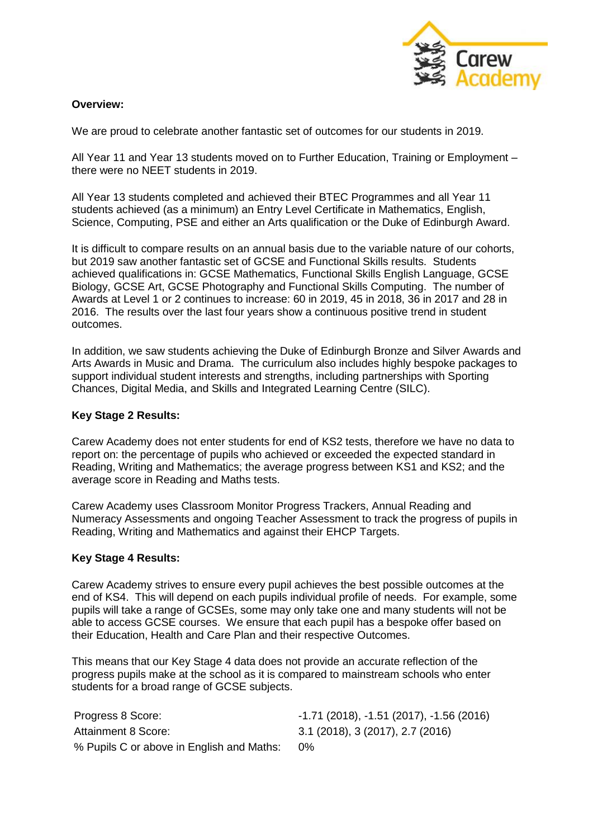

## **Overview:**

We are proud to celebrate another fantastic set of outcomes for our students in 2019.

All Year 11 and Year 13 students moved on to Further Education, Training or Employment – there were no NEET students in 2019.

All Year 13 students completed and achieved their BTEC Programmes and all Year 11 students achieved (as a minimum) an Entry Level Certificate in Mathematics, English, Science, Computing, PSE and either an Arts qualification or the Duke of Edinburgh Award.

It is difficult to compare results on an annual basis due to the variable nature of our cohorts. but 2019 saw another fantastic set of GCSE and Functional Skills results. Students achieved qualifications in: GCSE Mathematics, Functional Skills English Language, GCSE Biology, GCSE Art, GCSE Photography and Functional Skills Computing. The number of Awards at Level 1 or 2 continues to increase: 60 in 2019, 45 in 2018, 36 in 2017 and 28 in 2016. The results over the last four years show a continuous positive trend in student outcomes.

In addition, we saw students achieving the Duke of Edinburgh Bronze and Silver Awards and Arts Awards in Music and Drama. The curriculum also includes highly bespoke packages to support individual student interests and strengths, including partnerships with Sporting Chances, Digital Media, and Skills and Integrated Learning Centre (SILC).

## **Key Stage 2 Results:**

Carew Academy does not enter students for end of KS2 tests, therefore we have no data to report on: the percentage of pupils who achieved or exceeded the expected standard in Reading, Writing and Mathematics; the average progress between KS1 and KS2; and the average score in Reading and Maths tests.

Carew Academy uses Classroom Monitor Progress Trackers, Annual Reading and Numeracy Assessments and ongoing Teacher Assessment to track the progress of pupils in Reading, Writing and Mathematics and against their EHCP Targets.

## **Key Stage 4 Results:**

Carew Academy strives to ensure every pupil achieves the best possible outcomes at the end of KS4. This will depend on each pupils individual profile of needs. For example, some pupils will take a range of GCSEs, some may only take one and many students will not be able to access GCSE courses. We ensure that each pupil has a bespoke offer based on their Education, Health and Care Plan and their respective Outcomes.

This means that our Key Stage 4 data does not provide an accurate reflection of the progress pupils make at the school as it is compared to mainstream schools who enter students for a broad range of GCSE subjects.

Progress 8 Score:  $-1.71$  (2018),  $-1.51$  (2017),  $-1.56$  (2016) Attainment 8 Score: 3.1 (2018), 3 (2017), 2.7 (2016) % Pupils C or above in English and Maths: 0%